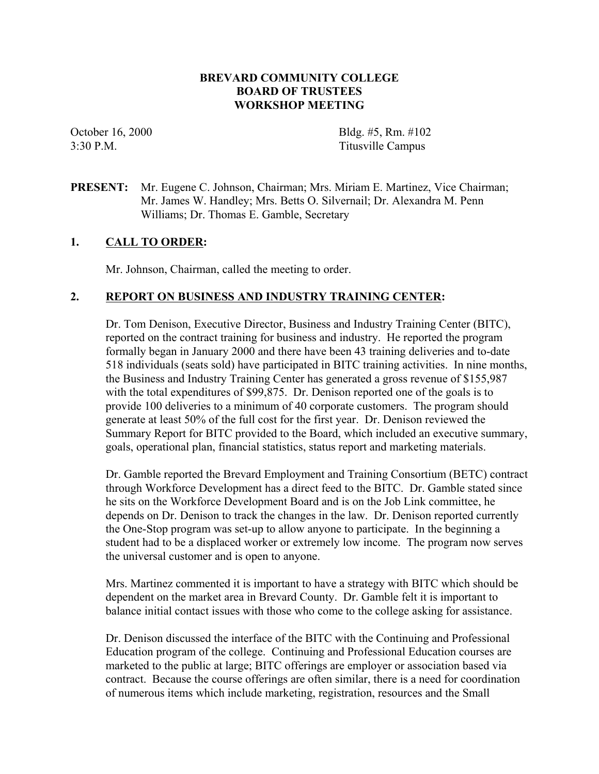## **BREVARD COMMUNITY COLLEGE BOARD OF TRUSTEES WORKSHOP MEETING**

October 16, 2000 Bldg. #5, Rm. #102 3:30 P.M. Titusville Campus

### **PRESENT:** Mr. Eugene C. Johnson, Chairman; Mrs. Miriam E. Martinez, Vice Chairman; Mr. James W. Handley; Mrs. Betts O. Silvernail; Dr. Alexandra M. Penn Williams; Dr. Thomas E. Gamble, Secretary

### **1. CALL TO ORDER:**

Mr. Johnson, Chairman, called the meeting to order.

### **2. REPORT ON BUSINESS AND INDUSTRY TRAINING CENTER:**

Dr. Tom Denison, Executive Director, Business and Industry Training Center (BITC), reported on the contract training for business and industry. He reported the program formally began in January 2000 and there have been 43 training deliveries and to-date 518 individuals (seats sold) have participated in BITC training activities. In nine months, the Business and Industry Training Center has generated a gross revenue of \$155,987 with the total expenditures of \$99,875. Dr. Denison reported one of the goals is to provide 100 deliveries to a minimum of 40 corporate customers. The program should generate at least 50% of the full cost for the first year. Dr. Denison reviewed the Summary Report for BITC provided to the Board, which included an executive summary, goals, operational plan, financial statistics, status report and marketing materials.

Dr. Gamble reported the Brevard Employment and Training Consortium (BETC) contract through Workforce Development has a direct feed to the BITC. Dr. Gamble stated since he sits on the Workforce Development Board and is on the Job Link committee, he depends on Dr. Denison to track the changes in the law. Dr. Denison reported currently the One-Stop program was set-up to allow anyone to participate. In the beginning a student had to be a displaced worker or extremely low income. The program now serves the universal customer and is open to anyone.

Mrs. Martinez commented it is important to have a strategy with BITC which should be dependent on the market area in Brevard County. Dr. Gamble felt it is important to balance initial contact issues with those who come to the college asking for assistance.

Dr. Denison discussed the interface of the BITC with the Continuing and Professional Education program of the college. Continuing and Professional Education courses are marketed to the public at large; BITC offerings are employer or association based via contract. Because the course offerings are often similar, there is a need for coordination of numerous items which include marketing, registration, resources and the Small